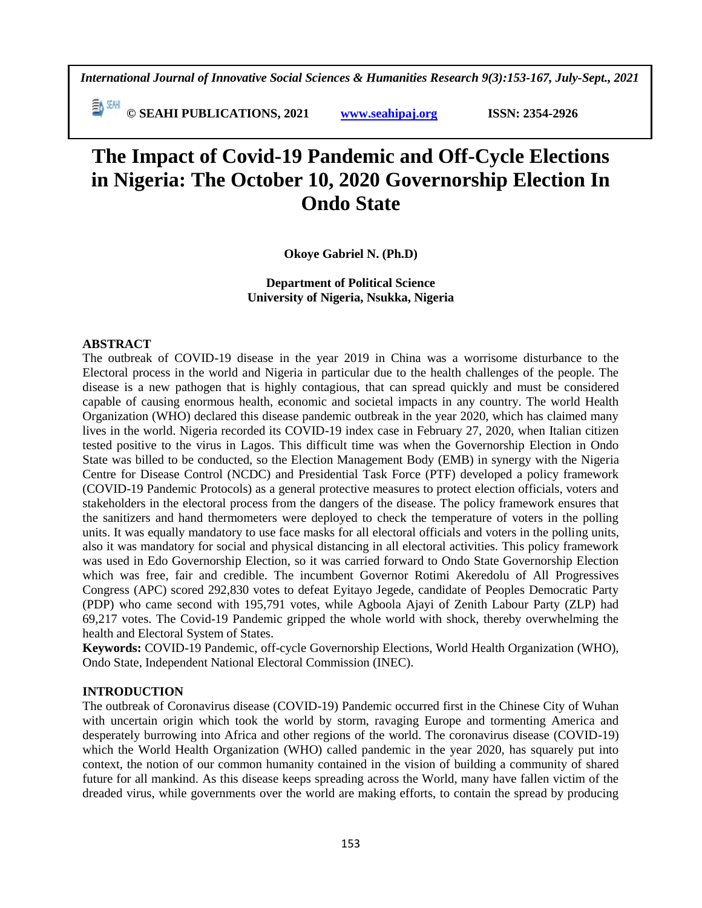*International Journal of Innovative Social Sciences & Humanities Research 9(3):153-167, July-Sept., 2021*

 **© SEAHI PUBLICATIONS, 2021 [www.seahipaj.org](http://www.seahipaj.org/) ISSN: 2354-2926** 

# **The Impact of Covid-19 Pandemic and Off-Cycle Elections in Nigeria: The October 10, 2020 Governorship Election In Ondo State**

**Okoye Gabriel N. (Ph.D)**

**Department of Political Science University of Nigeria, Nsukka, Nigeria**

## **ABSTRACT**

The outbreak of COVID-19 disease in the year 2019 in China was a worrisome disturbance to the Electoral process in the world and Nigeria in particular due to the health challenges of the people. The disease is a new pathogen that is highly contagious, that can spread quickly and must be considered capable of causing enormous health, economic and societal impacts in any country. The world Health Organization (WHO) declared this disease pandemic outbreak in the year 2020, which has claimed many lives in the world. Nigeria recorded its COVID-19 index case in February 27, 2020, when Italian citizen tested positive to the virus in Lagos. This difficult time was when the Governorship Election in Ondo State was billed to be conducted, so the Election Management Body (EMB) in synergy with the Nigeria Centre for Disease Control (NCDC) and Presidential Task Force (PTF) developed a policy framework (COVID-19 Pandemic Protocols) as a general protective measures to protect election officials, voters and stakeholders in the electoral process from the dangers of the disease. The policy framework ensures that the sanitizers and hand thermometers were deployed to check the temperature of voters in the polling units. It was equally mandatory to use face masks for all electoral officials and voters in the polling units, also it was mandatory for social and physical distancing in all electoral activities. This policy framework was used in Edo Governorship Election, so it was carried forward to Ondo State Governorship Election which was free, fair and credible. The incumbent Governor Rotimi Akeredolu of All Progressives Congress (APC) scored 292,830 votes to defeat Eyitayo Jegede, candidate of Peoples Democratic Party (PDP) who came second with 195,791 votes, while Agboola Ajayi of Zenith Labour Party (ZLP) had 69,217 votes. The Covid-19 Pandemic gripped the whole world with shock, thereby overwhelming the health and Electoral System of States.

**Keywords:** COVID-19 Pandemic, off-cycle Governorship Elections, World Health Organization (WHO), Ondo State, Independent National Electoral Commission (INEC).

## **INTRODUCTION**

The outbreak of Coronavirus disease (COVID-19) Pandemic occurred first in the Chinese City of Wuhan with uncertain origin which took the world by storm, ravaging Europe and tormenting America and desperately burrowing into Africa and other regions of the world. The coronavirus disease (COVID-19) which the World Health Organization (WHO) called pandemic in the year 2020, has squarely put into context, the notion of our common humanity contained in the vision of building a community of shared future for all mankind. As this disease keeps spreading across the World, many have fallen victim of the dreaded virus, while governments over the world are making efforts, to contain the spread by producing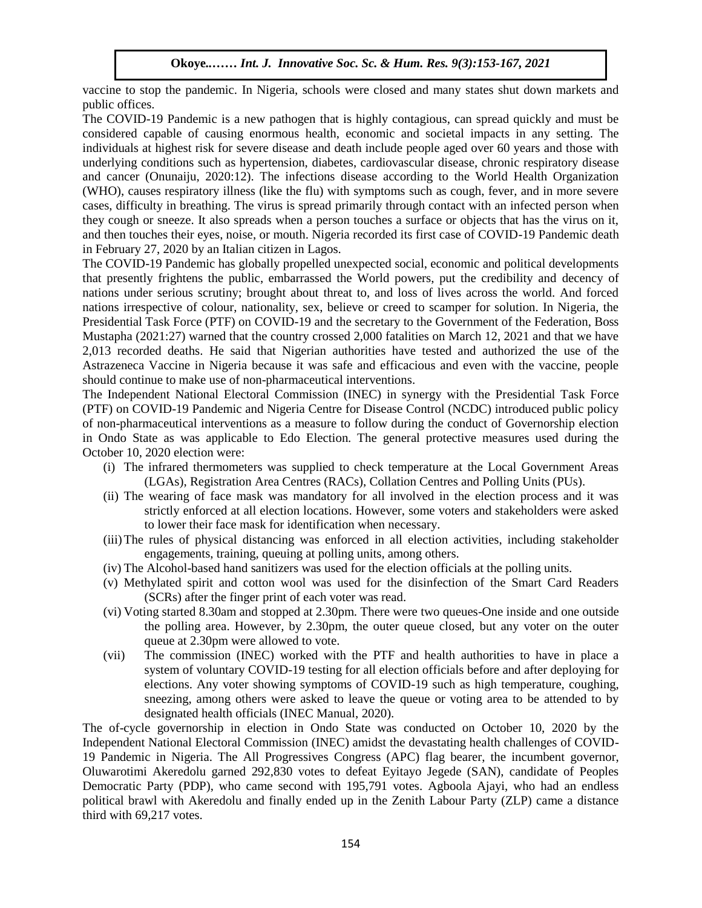vaccine to stop the pandemic. In Nigeria, schools were closed and many states shut down markets and public offices.

The COVID-19 Pandemic is a new pathogen that is highly contagious, can spread quickly and must be considered capable of causing enormous health, economic and societal impacts in any setting. The individuals at highest risk for severe disease and death include people aged over 60 years and those with underlying conditions such as hypertension, diabetes, cardiovascular disease, chronic respiratory disease and cancer (Onunaiju, 2020:12). The infections disease according to the World Health Organization (WHO), causes respiratory illness (like the flu) with symptoms such as cough, fever, and in more severe cases, difficulty in breathing. The virus is spread primarily through contact with an infected person when they cough or sneeze. It also spreads when a person touches a surface or objects that has the virus on it, and then touches their eyes, noise, or mouth. Nigeria recorded its first case of COVID-19 Pandemic death in February 27, 2020 by an Italian citizen in Lagos.

The COVID-19 Pandemic has globally propelled unexpected social, economic and political developments The COVID-19 Pandemic has globally propelled unexpected social, economic and political developments that presently frightens the public, embarrassed the World powers, put the credibility and decency of nations under serious scrutiny; brought about threat to, and loss of lives across the world. And forced nations irrespective of colour, nationality, sex, believe or creed to scamper for solution. In Nigeria, the Presidential Task Force (PTF) on COVID-19 and the secretary to the Government of the Federation, Boss Mustapha (2021:27) warned that the country crossed 2,000 fatalities on March 12, 2021 and that we have 2,013 recorded deaths. He said that Nigerian authorities have tested and authorized the use of the Astrazeneca Vaccine in Nigeria because it was safe and efficacious and even with the vaccine, people Asuazencea vaceme in ingena because it was safe and efficacious and even w<br>should continue to make use of non-pharmaceutical interventions.

The Independent National Electoral Commission (INEC) in synergy with the Presidential Task Force (PTF) on COVID-19 Pandemic and Nigeria Centre for Disease Control (NCDC) introduced public policy of non-pharmaceutical interventions as a measure to follow during the conduct of Governorship election in Ondo State as was applicable to Edo Election. The general protective measures used during the October 10, 2020 election were:

- (i) The infrared thermometers was supplied to check temperature at the Local Government Areas (LGAs), Registration Area Centres (RACs), Collation Centres and Polling Units (PUs).
- (ii) The wearing of face mask was mandatory for all involved in the election process and it was strictly enforced at all election locations. However, some voters and stakeholders were asked to lower their face mask for identification when necessary.
- (iii)The rules of physical distancing was enforced in all election activities, including stakeholder engagements, training, queuing at polling units, among others.
- (iv) The Alcohol-based hand sanitizers was used for the election officials at the polling units.
- (v) Methylated spirit and cotton wool was used for the disinfection of the Smart Card Readers (SCRs) after the finger print of each voter was read.
- (vi) Voting started 8.30am and stopped at 2.30pm. There were two queues-One inside and one outside the polling area. However, by 2.30pm, the outer queue closed, but any voter on the outer queue at 2.30pm were allowed to vote.
- (vii) The commission (INEC) worked with the PTF and health authorities to have in place a system of voluntary COVID-19 testing for all election officials before and after deploying for elections. Any voter showing symptoms of COVID-19 such as high temperature, coughing, sneezing, among others were asked to leave the queue or voting area to be attended to by designated health officials (INEC Manual, 2020).

The of-cycle governorship in election in Ondo State was conducted on October 10, 2020 by the Independent National Electoral Commission (INEC) amidst the devastating health challenges of COVID-19 Pandemic in Nigeria. The All Progressives Congress (APC) flag bearer, the incumbent governor, Oluwarotimi Akeredolu garned 292,830 votes to defeat Eyitayo Jegede (SAN), candidate of Peoples Democratic Party (PDP), who came second with 195,791 votes. Agboola Ajayi, who had an endless political brawl with Akeredolu and finally ended up in the Zenith Labour Party (ZLP) came a distance third with 69,217 votes.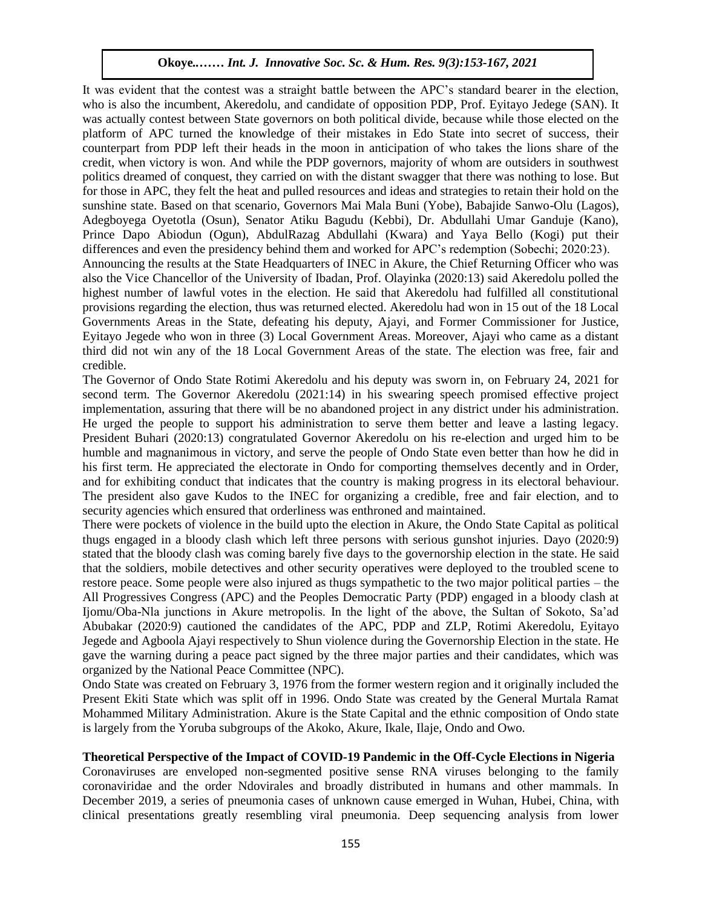It was evident that the contest was a straight battle between the APC's standard bearer in the election, who is also the incumbent, Akeredolu, and candidate of opposition PDP, Prof. Eyitayo Jedege (SAN). It was actually contest between State governors on both political divide, because while those elected on the was actually platform of APC turned the knowledge of their mistakes in Edo State into secret of success, their counterpart from PDP left their heads in the moon in anticipation of who takes the lions share of the credit, when victory is won. And while the PDP governors, majority of whom are outsiders in southwest politics dreamed of conquest, they carried on with the distant swagger that there was nothing to lose. But for those in APC, they felt the heat and pulled resources and ideas and strategies to retain their hold on the sunshine state. Based on that scenario, Governors Mai Mala Buni (Yobe), Babajide Sanwo-Olu (Lagos), Adegboyega Oyetotla (Osun), Senator Atiku Bagudu (Kebbi), Dr. Abdullahi Umar Ganduje (Kano), Prince Dapo Abiodun (Ogun), AbdulRazag Abdullahi (Kwara) and Yaya Bello (Kogi) put their differences and even the presidency behind them and worked for APC's redemption (Sobechi; 2020:23). Announcing the results at the State Headquarters of INEC in Akure, the Chief Returning Officer who was a metal with  $\tilde{C}$  and  $\tilde{C}$  and  $\tilde{C}$  and  $\tilde{C}$  and  $\tilde{C}$  and  $\tilde{C}$  and  $\tilde{C}$  and  $\tilde{C}$  and  $\$ also the Vice Chancellor of the University of Ibadan, Prof. Olayinka (2020:13) said Akeredolu polled the highest number of lawful votes in the election. He said that Akeredolu had fulfilled all constitutional provisions regarding the election, thus was returned elected. Akeredolu had won in 15 out of the 18 Local

Governments Areas in the State, defeating his deputy, Ajayi, and Former Commissioner for Justice, Eyitayo Jegede who won in three (3) Local Government Areas. Moreover, Ajayi who came as a distant third did not win any of the 18 Local Government Areas of the state. The election was free, fair and credible.

creunoie.<br>The Governor of Ondo State Rotimi Akeredolu and his deputy was sworn in, on February 24, 2021 for second term. The Governor Akeredolu (2021:14) in his swearing speech promised effective project implementation, assuring that there will be no abandoned project in any district under his administration. He urged the people to support his administration to serve them better and leave a lasting legacy. President Buhari (2020:13) congratulated Governor Akeredolu on his re-election and urged him to be humble and magnanimous in victory, and serve the people of Ondo State even better than how he did in his first term. He appreciated the electorate in Ondo for comporting themselves decently and in Order, and for exhibiting conduct that indicates that the country is making progress in its electoral behaviour. The president also gave Kudos to the INEC for organizing a credible, free and fair election, and to security agencies which ensured that orderliness was enthroned and maintained.

There were pockets of violence in the build upto the election in Akure, the Ondo State Capital as political thugs engaged in a bloody clash which left three persons with serious gunshot injuries. Dayo (2020:9) stated that the bloody clash was coming barely five days to the governorship election in the state. He said that the soldiers, mobile detectives and other security operatives were deployed to the troubled scene to restore peace. Some people were also injured as thugs sympathetic to the two major political parties – the All Progressives Congress (APC) and the Peoples Democratic Party (PDP) engaged in a bloody clash at Ijomu/Oba-Nla junctions in Akure metropolis. In the light of the above, the Sultan of Sokoto, Sa'ad Abubakar (2020:9) cautioned the candidates of the APC, PDP and ZLP, Rotimi Akeredolu, Eyitayo Jegede and Agboola Ajayi respectively to Shun violence during the Governorship Election in the state. He gave the warning during a peace pact signed by the three major parties and their candidates, which was organized by the National Peace Committee (NPC).

Ondo State was created on February 3, 1976 from the former western region and it originally included the Present Ekiti State which was split off in 1996. Ondo State was created by the General Murtala Ramat Mohammed Military Administration. Akure is the State Capital and the ethnic composition of Ondo state is largely from the Yoruba subgroups of the Akoko, Akure, Ikale, Ilaje, Ondo and Owo.

## **Theoretical Perspective of the Impact of COVID-19 Pandemic in the Off-Cycle Elections in Nigeria**

Coronaviruses are enveloped non-segmented positive sense RNA viruses belonging to the family coronaviridae and the order Ndovirales and broadly distributed in humans and other mammals. In December 2019, a series of pneumonia cases of unknown cause emerged in Wuhan, Hubei, China, with clinical presentations greatly resembling viral pneumonia. Deep sequencing analysis from lower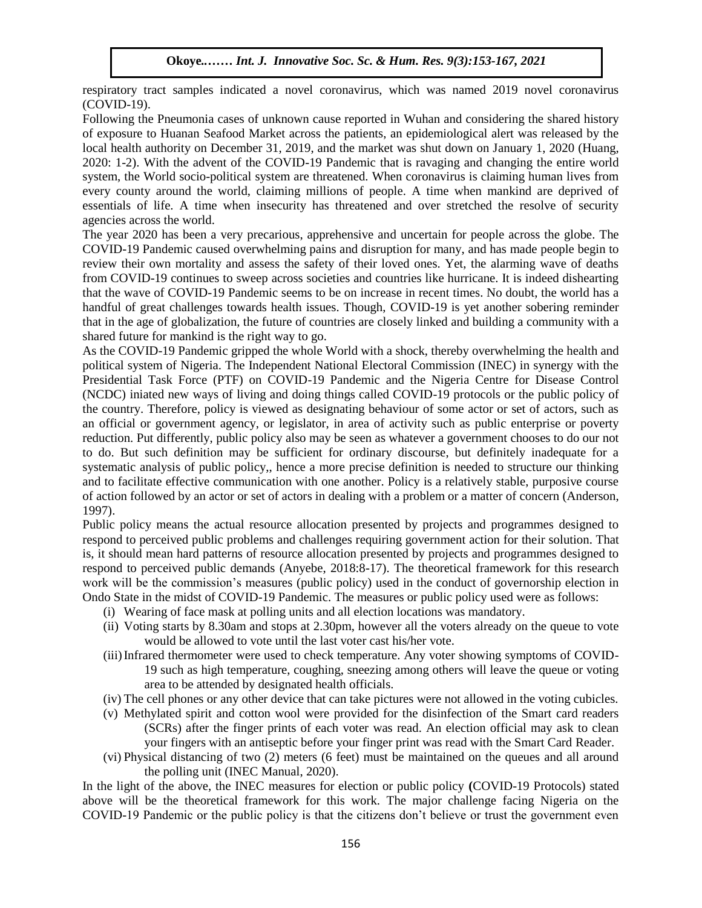respiratory tract samples indicated a novel coronavirus, which was named 2019 novel coronavirus (COVID-19).

(COVID-12).<br>Following the Pneumonia cases of unknown cause reported in Wuhan and considering the shared history of exposure to Huanan Seafood Market across the patients, an epidemiological alert was released by the local health authority on December 31, 2019, and the market was shut down on January 1, 2020 (Huang, 2020: 1-2). With the advent of the COVID-19 Pandemic that is ravaging and changing the entire world system, the World socio-political system are threatened. When coronavirus is claiming human lives from every county around the world, claiming millions of people. A time when mankind are deprived of essentials of life. A time when insecurity has threatened and over stretched the resolve of security agencies across the world.

The year 2020 has been a very precarious, apprehensive and uncertain for people across the globe. The COVID-19 Pandemic caused overwhelming pains and disruption for many, and has made people begin to review their own mortality and assess the safety of their loved ones. Yet, the alarming wave of deaths from COVID-19 continues to sweep across societies and countries like hurricane. It is indeed dishearting that the wave of COVID-19 Pandemic seems to be on increase in recent times. No doubt, the world has a handful of great challenges towards health issues. Though, COVID-19 is yet another sobering reminder that in the age of globalization, the future of countries are closely linked and building a community with a shared future for mankind is the right way to go.

As the COVID-19 Pandemic gripped the whole World with a shock, thereby overwhelming the health and political system of Nigeria. The Independent National Electoral Commission (INEC) in synergy with the Presidential Task Force (PTF) on COVID-19 Pandemic and the Nigeria Centre for Disease Control (NCDC) iniated new ways of living and doing things called COVID-19 protocols or the public policy of the country. Therefore, policy is viewed as designating behaviour of some actor or set of actors, such as an official or government agency, or legislator, in area of activity such as public enterprise or poverty reduction. Put differently, public policy also may be seen as whatever a government chooses to do our not to do. But such definition may be sufficient for ordinary discourse, but definitely inadequate for a systematic analysis of public policy,, hence a more precise definition is needed to structure our thinking and to facilitate effective communication with one another. Policy is a relatively stable, purposive course of action followed by an actor or set of actors in dealing with a problem or a matter of concern (Anderson, 1997).

Public policy means the actual resource allocation presented by projects and programmes designed to respond to perceived public problems and challenges requiring government action for their solution. That is, it should mean hard patterns of resource allocation presented by projects and programmes designed to respond to perceived public demands (Anyebe, 2018:8-17). The theoretical framework for this research work will be the commission's measures (public policy) used in the conduct of governorship election in Ondo State in the midst of COVID-19 Pandemic. The measures or public policy used were as follows:

- (i) Wearing of face mask at polling units and all election locations was mandatory.
- (ii) Voting starts by 8.30am and stops at 2.30pm, however all the voters already on the queue to vote would be allowed to vote until the last voter cast his/her vote.
- (iii) Infrared thermometer were used to check temperature. Any voter showing symptoms of COVID-19 such as high temperature, coughing, sneezing among others will leave the queue or voting area to be attended by designated health officials.
- (iv) The cell phones or any other device that can take pictures were not allowed in the voting cubicles.
- (v) Methylated spirit and cotton wool were provided for the disinfection of the Smart card readers (SCRs) after the finger prints of each voter was read. An election official may ask to clean your fingers with an antiseptic before your finger print was read with the Smart Card Reader.
- (vi) Physical distancing of two (2) meters (6 feet) must be maintained on the queues and all around the polling unit (INEC Manual, 2020).

In the light of the above, the INEC measures for election or public policy **(**COVID-19 Protocols) stated above will be the theoretical framework for this work. The major challenge facing Nigeria on the COVID-19 Pandemic or the public policy is that the citizens don't believe or trust the government even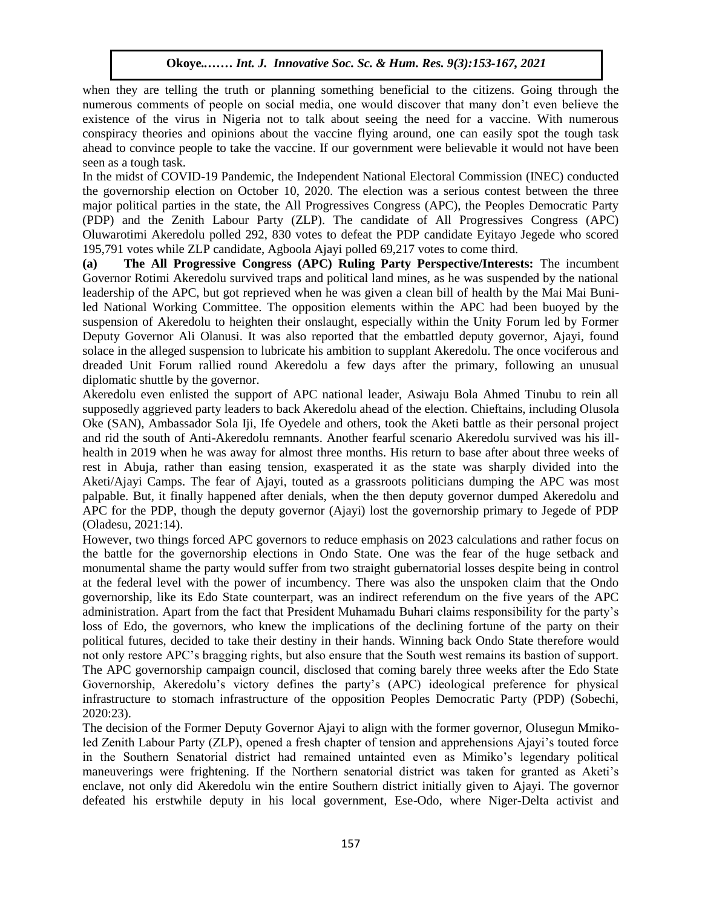when they are telling the truth or planning something beneficial to the citizens. Going through the numerous comments of people on social media, one would discover that many don't even believe the existence of the virus in Nigeria not to talk about seeing the need for a vaccine. With numerous conspiracy theories and opinions about the vaccine flying around, one can easily spot the tough task ahead to convince people to take the vaccine. If our government were believable it would not have been seen as a tough task. a tough task.

In the midst of COVID-19 Pandemic, the Independent National Electoral Commission (INEC) conducted the governorship election on October 10, 2020. The election was a serious contest between the three major political parties in the state, the All Progressives Congress (APC), the Peoples Democratic Party (PDP) and the Zenith Labour Party (ZLP). The candidate of All Progressives Congress (APC) Oluwarotimi Akeredolu polled 292, 830 votes to defeat the PDP candidate Eyitayo Jegede who scored 195,791 votes while ZLP candidate, Agboola Ajayi polled 69,217 votes to come third.

(a) **The All Progressive Congress (APC) Ruling Party Perspective/Interests:** The incumbent Governor Rotimi Akeredolu survived traps and political land mines, as he was suspended by the national leadership of the APC, but got reprieved when he was given a clean bill of health by the Mai Mai Buniled National Working Committee. The opposition elements within the APC had been buoyed by the suspension of Akeredolu to heighten their onslaught, especially within the Unity Forum led by Former Deputy Governor Ali Olanusi. It was also reported that the embattled deputy governor, Ajayi, found solace in the alleged suspension to lubricate his ambition to supplant Akeredolu. The once vociferous and dreaded Unit Forum rallied round Akeredolu a few days after the primary, following an unusual diplomatic chuttle by the covernor. diplomatic shuttle by the governor.

Akeredolu even enlisted the support of APC national leader, Asiwaju Bola Ahmed Tinubu to rein all supposedly aggrieved party leaders to back Akeredolu ahead of the election. Chieftains, including Olusola Oke (SAN), Ambassador Sola Iji, Ife Oyedele and others, took the Aketi battle as their personal project and rid the south of Anti-Akeredolu remnants. Another fearful scenario Akeredolu survived was his illhealth in 2019 when he was away for almost three months. His return to base after about three weeks of rest in Abuja, rather than easing tension, exasperated it as the state was sharply divided into the Aketi/Ajayi Camps. The fear of Ajayi, touted as a grassroots politicians dumping the APC was most palpable. But, it finally happened after denials, when the then deputy governor dumped Akeredolu and APC for the PDP, though the deputy governor (Ajayi) lost the governorship primary to Jegede of PDP (Oladesu, 2021:14).

However, two things forced APC governors to reduce emphasis on 2023 calculations and rather focus on the battle for the governorship elections in Ondo State. One was the fear of the huge setback and monumental shame the party would suffer from two straight gubernatorial losses despite being in control at the federal level with the power of incumbency. There was also the unspoken claim that the Ondo governorship, like its Edo State counterpart, was an indirect referendum on the five years of the APC administration. Apart from the fact that President Muhamadu Buhari claims responsibility for the party's loss of Edo, the governors, who knew the implications of the declining fortune of the party on their political futures, decided to take their destiny in their hands. Winning back Ondo State therefore would not only restore APC's bragging rights, but also ensure that the South west remains its bastion of support. The APC governorship campaign council, disclosed that coming barely three weeks after the Edo State Governorship, Akeredolu's victory defines the party's (APC) ideological preference for physical infrastructure to stomach infrastructure of the opposition Peoples Democratic Party (PDP) (Sobechi, 2020:23).

The decision of the Former Deputy Governor Ajayi to align with the former governor, Olusegun Mmikoled Zenith Labour Party (ZLP), opened a fresh chapter of tension and apprehensions Ajayi's touted force in the Southern Senatorial district had remained untainted even as Mimiko's legendary political maneuverings were frightening. If the Northern senatorial district was taken for granted as Aketi's enclave, not only did Akeredolu win the entire Southern district initially given to Ajayi. The governor defeated his erstwhile deputy in his local government, Ese-Odo, where Niger-Delta activist and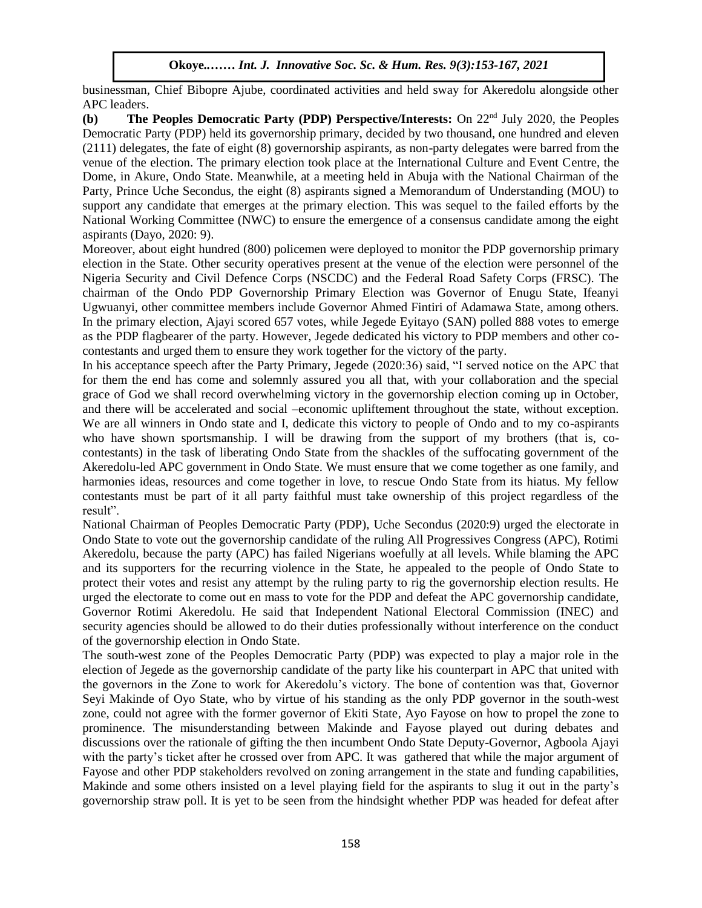businessman, Chief Bibopre Ajube, coordinated activities and held sway for Akeredolu alongside other APC leaders.

(b) The Peoples Democratic Party (PDP) Perspective/Interests: On 22<sup>nd</sup> July 2020, the Peoples Democratic Party (PDP) held its governorship primary, decided by two thousand, one hundred and eleven (2111) delegates, the fate of eight (8) governorship aspirants, as non-party delegates were barred from the venue of the election. The primary election took place at the International Culture and Event Centre, the Dome, in Akure, Ondo State. Meanwhile, at a meeting held in Abuja with the National Chairman of the Party, Prince Uche Secondus, the eight (8) aspirants signed a Memorandum of Understanding (MOU) to support any candidate that emerges at the primary election. This was sequel to the failed efforts by the National Working Committee (NWC) to ensure the emergence of a consensus candidate among the eight aspirants (Dayo, 2020: 9).

Moreover, about eight hundred (800) policemen were deployed to monitor the PDP governorship primary election in the State. Other security operatives present at the venue of the election were personnel of the election in the state. Other security operatives present at the ventile of the election were personner of the<br>Nigeria Security and Civil Defence Corps (NSCDC) and the Federal Road Safety Corps (FRSC). The chairman of the Ondo PDP Governorship Primary Election was Governor of Enugu State, Ifeanyi Ugwuanyi, other committee members include Governor Ahmed Fintiri of Adamawa State, among others. In the primary election, Ajayi scored 657 votes, while Jegede Eyitayo (SAN) polled 888 votes to emerge as the PDP flagbearer of the party. However, Jegede dedicated his victory to PDP members and other cocontestants and urged them to ensure they work together for the victory of the party.

In his acceptance speech after the Party Primary, Jegede (2020:36) said, "I served notice on the APC that for them the end has come and solemnly assured you all that, with your collaboration and the special for them the end has come and solemnly assured you all that, with your collaboration and the special grace of God we shall record overwhelming victory in the governorship election coming up in October, and there will be accelerated and social –economic upliftement throughout the state, without exception. We are all winners in Ondo state and I, dedicate this victory to people of Ondo and to my co-aspirants who have shown sportsmanship. I will be drawing from the support of my brothers (that is, cocontestants) in the task of liberating Ondo State from the shackles of the suffocating government of the Akeredolu-led APC government in Ondo State. We must ensure that we come together as one family, and harmonies ideas, resources and come together in love, to rescue Ondo State from its hiatus. My fellow contestants must be part of it all party faithful must take ownership of this project regardless of the result".

National Chairman of Peoples Democratic Party (PDP), Uche Secondus (2020:9) urged the electorate in Ondo State to vote out the governorship candidate of the ruling All Progressives Congress (APC), Rotimi Akeredolu, because the party (APC) has failed Nigerians woefully at all levels. While blaming the APC and its supporters for the recurring violence in the State, he appealed to the people of Ondo State to protect their votes and resist any attempt by the ruling party to rig the governorship election results. He urged the electorate to come out en mass to vote for the PDP and defeat the APC governorship candidate, Governor Rotimi Akeredolu. He said that Independent National Electoral Commission (INEC) and security agencies should be allowed to do their duties professionally without interference on the conduct of the governorship election in Ondo State.

The south-west zone of the Peoples Democratic Party (PDP) was expected to play a major role in the election of Jegede as the governorship candidate of the party like his counterpart in APC that united with the governors in the Zone to work for Akeredolu's victory. The bone of contention was that, Governor Seyi Makinde of Oyo State, who by virtue of his standing as the only PDP governor in the south-west zone, could not agree with the former governor of Ekiti State, Ayo Fayose on how to propel the zone to prominence. The misunderstanding between Makinde and Fayose played out during debates and discussions over the rationale of gifting the then incumbent Ondo State Deputy-Governor, Agboola Ajayi with the party's ticket after he crossed over from APC. It was gathered that while the major argument of Fayose and other PDP stakeholders revolved on zoning arrangement in the state and funding capabilities, Makinde and some others insisted on a level playing field for the aspirants to slug it out in the party's governorship straw poll. It is yet to be seen from the hindsight whether PDP was headed for defeat after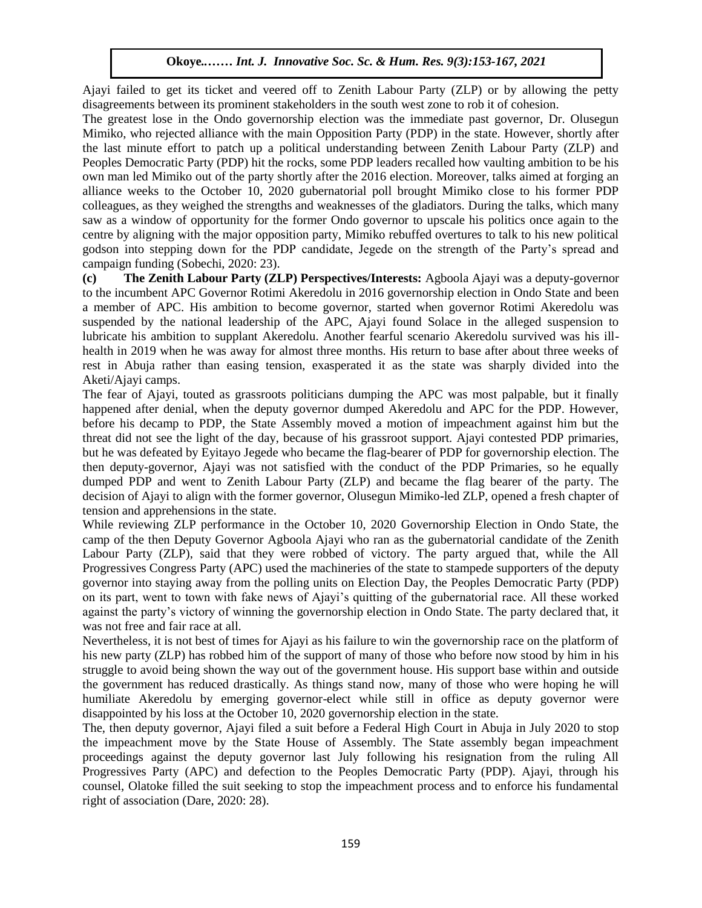Ajayi failed to get its ticket and veered off to Zenith Labour Party (ZLP) or by allowing the petty disagreements between its prominent stakeholders in the south west zone to rob it of cohesion.

and greenless between its prominent statemetics in the south west zone to red it or concessor.<br>The greatest lose in the Ondo governorship election was the immediate past governor, Dr. Olusegun Mimiko, who rejected alliance with the main Opposition Party (PDP) in the state. However, shortly after the last minute effort to patch up a political understanding between Zenith Labour Party (ZLP) and Peoples Democratic Party (PDP) hit the rocks, some PDP leaders recalled how vaulting ambition to be his own man led Mimiko out of the party shortly after the 2016 election. Moreover, talks aimed at forging an alliance weeks to the October 10, 2020 gubernatorial poll brought Mimiko close to his former PDP colleagues, as they weighed the strengths and weaknesses of the gladiators. During the talks, which many saw as a window of opportunity for the former Ondo governor to upscale his politics once again to the centre by aligning with the major opposition party, Mimiko rebuffed overtures to talk to his new political godson into stepping down for the PDP candidate, Jegede on the strength of the Party's spread and campaign funding (Sobechi, 2020: 23).

**(c) The Zenith Labour Party (ZLP) Perspectives/Interests:** Agboola Ajayi was a deputy-governor to the incumbent APC Governor Rotimi Akeredolu in 2016 governorship election in Ondo State and been a member of APC. His ambition to become governor, started when governor Rotimi Akeredolu was suspended by the national leadership of the APC, Ajayi found Solace in the alleged suspension to lubricate his ambition to supplant Akeredolu. Another fearful scenario Akeredolu survived was his illhealth in 2019 when he was away for almost three months. His return to base after about three weeks of rest in Abuja rather than easing tension, exasperated it as the state was sharply divided into the Aketi/Ajayi camps.

The fear of Ajayi, touted as grassroots politicians dumping the APC was most palpable, but it finally happened after denial, when the deputy governor dumped Akeredolu and APC for the PDP. However, before his decamp to PDP, the State Assembly moved a motion of impeachment against him but the threat did not see the light of the day, because of his grassroot support. Ajayi contested PDP primaries, but he was defeated by Eyitayo Jegede who became the flag-bearer of PDP for governorship election. The then deputy-governor, Ajayi was not satisfied with the conduct of the PDP Primaries, so he equally dumped PDP and went to Zenith Labour Party (ZLP) and became the flag bearer of the party. The decision of Ajayi to align with the former governor, Olusegun Mimiko-led ZLP, opened a fresh chapter of tension and apprehensions in the state.

While reviewing ZLP performance in the October 10, 2020 Governorship Election in Ondo State, the camp of the then Deputy Governor Agboola Ajayi who ran as the gubernatorial candidate of the Zenith Labour Party (ZLP), said that they were robbed of victory. The party argued that, while the All Progressives Congress Party (APC) used the machineries of the state to stampede supporters of the deputy governor into staying away from the polling units on Election Day, the Peoples Democratic Party (PDP) on its part, went to town with fake news of Ajayi's quitting of the gubernatorial race. All these worked against the party's victory of winning the governorship election in Ondo State. The party declared that, it was not free and fair race at all.

Nevertheless, it is not best of times for Ajayi as his failure to win the governorship race on the platform of his new party (ZLP) has robbed him of the support of many of those who before now stood by him in his struggle to avoid being shown the way out of the government house. His support base within and outside the government has reduced drastically. As things stand now, many of those who were hoping he will humiliate Akeredolu by emerging governor-elect while still in office as deputy governor were disappointed by his loss at the October 10, 2020 governorship election in the state.

The, then deputy governor, Ajayi filed a suit before a Federal High Court in Abuja in July 2020 to stop the impeachment move by the State House of Assembly. The State assembly began impeachment proceedings against the deputy governor last July following his resignation from the ruling All Progressives Party (APC) and defection to the Peoples Democratic Party (PDP). Ajayi, through his counsel, Olatoke filled the suit seeking to stop the impeachment process and to enforce his fundamental right of association (Dare, 2020: 28).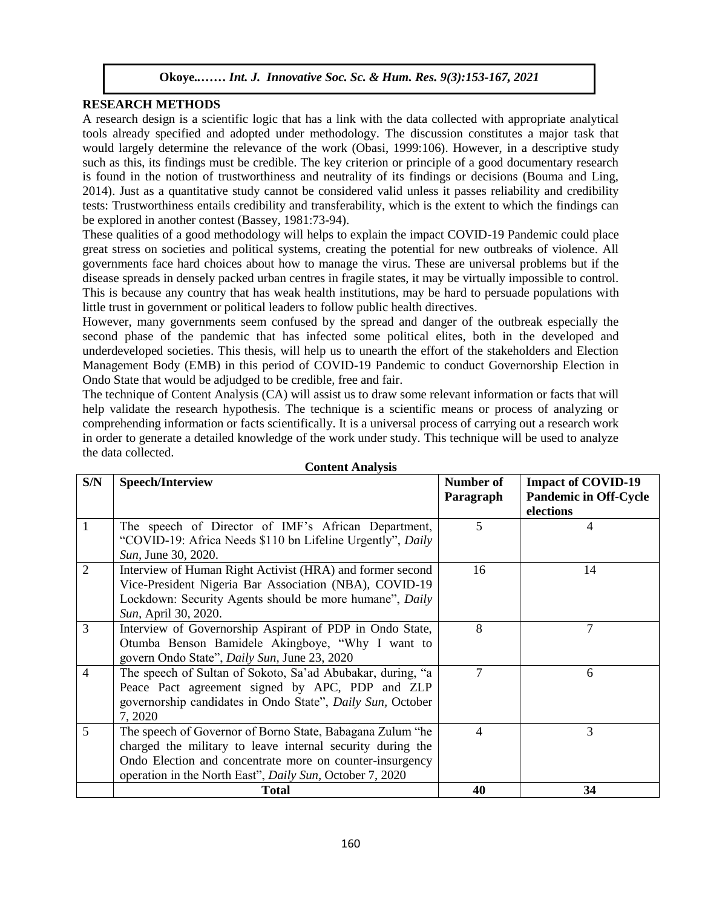# **RESEARCH METHODS**

A research design is a scientific logic that has a link with the data collected with appropriate analytical tools already specified and adopted under methodology. The discussion constitutes a major task that would largely determine the relevance of the work (Obasi, 1999:106). However, in a descriptive study such as this, its findings must be credible. The key criterion or principle of a good documentary research is found in the notion of trustworthiness and neutrality of its findings or decisions (Bouma and Ling, 2014). Just as a quantitative study cannot be considered valid unless it passes reliability and credibility tests: Trustworthiness entails credibility and transferability, which is the extent to which the findings can be explored in another contest (Bassey, 1981:73-94).

These qualities of a good methodology will helps to explain the impact COVID-19 Pandemic could place great stress on societies and political systems, creating the potential for new outbreaks of violence. All governments face hard choices about how to manage the virus. These are universal problems but if the disease spreads in densely packed urban centres in fragile states, it may be virtually impossible to control. This is because any country that has weak health institutions, may be hard to persuade populations with little trust in government or political leaders to follow public health directives.

However, many governments seem confused by the spread and danger of the outbreak especially the second phase of the pandemic that has infected some political elites, both in the developed and underdeveloped societies. This thesis, will help us to unearth the effort of the stakeholders and Election Management Body (EMB) in this period of COVID-19 Pandemic to conduct Governorship Election in Ondo State that would be adjudged to be credible, free and fair.

Undo State that would be adjudged to be credible, free and ran.<br>The technique of Content Analysis (CA) will assist us to draw some relevant information or facts that will help validate the research hypothesis. The technique is a scientific means or process of analyzing or comprehending information or facts scientifically. It is a universal process of carrying out a research work in order to generate a detailed knowledge of the work under study. This technique will be used to analyze the data collected.

| S/N            | <b>Speech/Interview</b>                                                                                                                                                                                                                         | Number of<br>Paragraph | <b>Impact of COVID-19</b><br><b>Pandemic in Off-Cycle</b><br>elections |
|----------------|-------------------------------------------------------------------------------------------------------------------------------------------------------------------------------------------------------------------------------------------------|------------------------|------------------------------------------------------------------------|
| 1              | The speech of Director of IMF's African Department,<br>"COVID-19: Africa Needs \$110 bn Lifeline Urgently", Daily<br>Sun, June 30, 2020.                                                                                                        | 5                      | 4                                                                      |
| $\overline{2}$ | Interview of Human Right Activist (HRA) and former second<br>Vice-President Nigeria Bar Association (NBA), COVID-19<br>Lockdown: Security Agents should be more humane", Daily<br>Sun, April 30, 2020.                                          | 16                     | 14                                                                     |
| 3              | Interview of Governorship Aspirant of PDP in Ondo State,<br>Otumba Benson Bamidele Akingboye, "Why I want to<br>govern Ondo State", Daily Sun, June 23, 2020                                                                                    | 8                      | $\tau$                                                                 |
| $\overline{4}$ | The speech of Sultan of Sokoto, Sa'ad Abubakar, during, "a<br>Peace Pact agreement signed by APC, PDP and ZLP<br>governorship candidates in Ondo State", Daily Sun, October<br>7,2020                                                           | $\tau$                 | 6                                                                      |
| 5              | The speech of Governor of Borno State, Babagana Zulum "he<br>charged the military to leave internal security during the<br>Ondo Election and concentrate more on counter-insurgency<br>operation in the North East", Daily Sun, October 7, 2020 | 4                      | 3                                                                      |
|                | <b>Total</b>                                                                                                                                                                                                                                    | 40                     | 34                                                                     |

## **Content Analysis**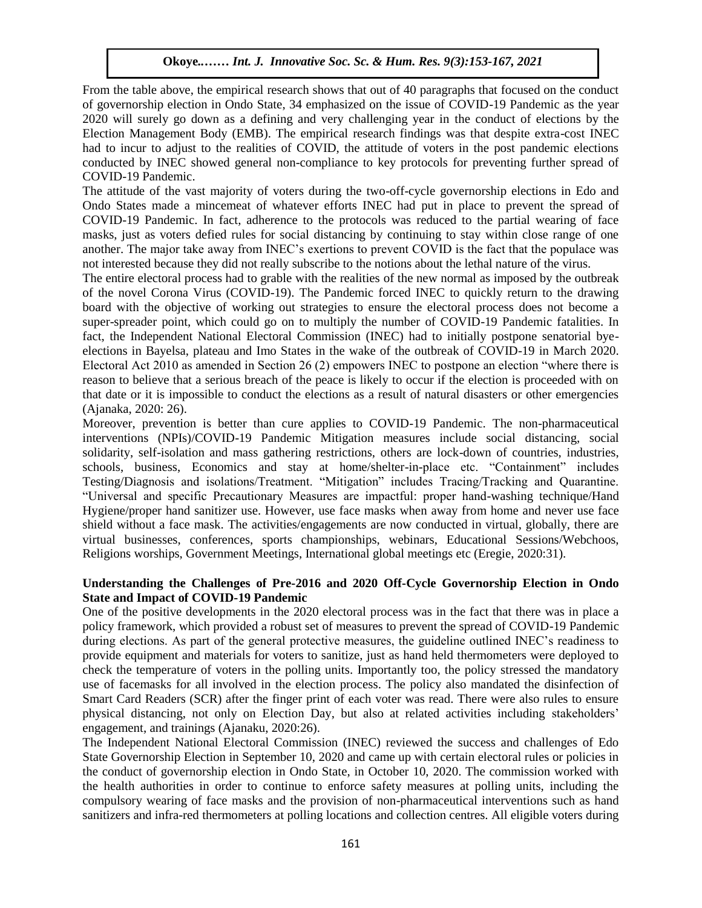From the table above, the empirical research shows that out of 40 paragraphs that focused on the conduct of governorship election in Ondo State, 34 emphasized on the issue of COVID-19 Pandemic as the year  $2020$  will surely go down as a defining and very challenging year in the conduct of elections by the Election Management Body (EMB). The empirical research findings was that despite extra-cost INEC had to incur to adjust to the realities of COVID, the attitude of voters in the post pandemic elections conducted by INEC showed general non-compliance to key protocols for preventing further spread of COVID-19 Pandemic.

The attitude of the vast majority of voters during the two-off-cycle governorship elections in Edo and Ondo States made a mincemeat of whatever efforts INEC had put in place to prevent the spread of COVID-19 Pandemic. In fact, adherence to the protocols was reduced to the partial wearing of face masks, just as voters defied rules for social distancing by continuing to stay within close range of one another. The major take away from INEC's exertions to prevent COVID is the fact that the populace was not interested because they did not really subscribe to the notions about the lethal nature of the virus.

The entire electoral process had to grable with the realities of the new normal as imposed by the outbreak of the novel Corona Virus (COVID-19). The Pandemic forced INEC to quickly return to the drawing board with the objective of working out strategies to ensure the electoral process does not become a super-spreader point, which could go on to multiply the number of COVID-19 Pandemic fatalities. In fact, the Independent National Electoral Commission (INEC) had to initially postpone senatorial byeelections in Bayelsa, plateau and Imo States in the wake of the outbreak of COVID-19 in March 2020. Electoral Act  $2010$  as amended in Section  $26(2)$  empowers INEC to postpone an election "where there is reason to believe that a serious breach of the peace is likely to occur if the election is proceeded with on that date or it is impossible to conduct the elections as a result of natural disasters or other emergencies (Ajanaka, 2020: 26).

Moreover, prevention is better than cure applies to COVID-19 Pandemic. The non-pharmaceutical interventions (NPIs)/COVID-19 Pandemic Mitigation measures include social distancing, social solidarity, self-isolation and mass gathering restrictions, others are lock-down of countries, industries, schools, business, Economics and stay at home/shelter-in-place etc. "Containment" includes Testing/Diagnosis and isolations/Treatment. "Mitigation" includes Tracing/Tracking and Quarantine. "Universal and specific Precautionary Measures are impactful: proper hand-washing technique/Hand Hygiene/proper hand sanitizer use. However, use face masks when away from home and never use face shield without a face mask. The activities/engagements are now conducted in virtual, globally, there are virtual businesses, conferences, sports championships, webinars, Educational Sessions/Webchoos, Religions worships, Government Meetings, International global meetings etc (Eregie, 2020:31).

## **Understanding the Challenges of Pre-2016 and 2020 Off-Cycle Governorship Election in Ondo State and Impact of COVID-19 Pandemic**

One of the positive developments in the 2020 electoral process was in the fact that there was in place a policy framework, which provided a robust set of measures to prevent the spread of COVID-19 Pandemic during elections. As part of the general protective measures, the guideline outlined INEC's readiness to provide equipment and materials for voters to sanitize, just as hand held thermometers were deployed to check the temperature of voters in the polling units. Importantly too, the policy stressed the mandatory use of facemasks for all involved in the election process. The policy also mandated the disinfection of Smart Card Readers (SCR) after the finger print of each voter was read. There were also rules to ensure physical distancing, not only on Election Day, but also at related activities including stakeholders' engagement, and trainings (Ajanaku, 2020:26).

The Independent National Electoral Commission (INEC) reviewed the success and challenges of Edo State Governorship Election in September 10, 2020 and came up with certain electoral rules or policies in the conduct of governorship election in Ondo State, in October 10, 2020. The commission worked with the health authorities in order to continue to enforce safety measures at polling units, including the compulsory wearing of face masks and the provision of non-pharmaceutical interventions such as hand sanitizers and infra-red thermometers at polling locations and collection centres. All eligible voters during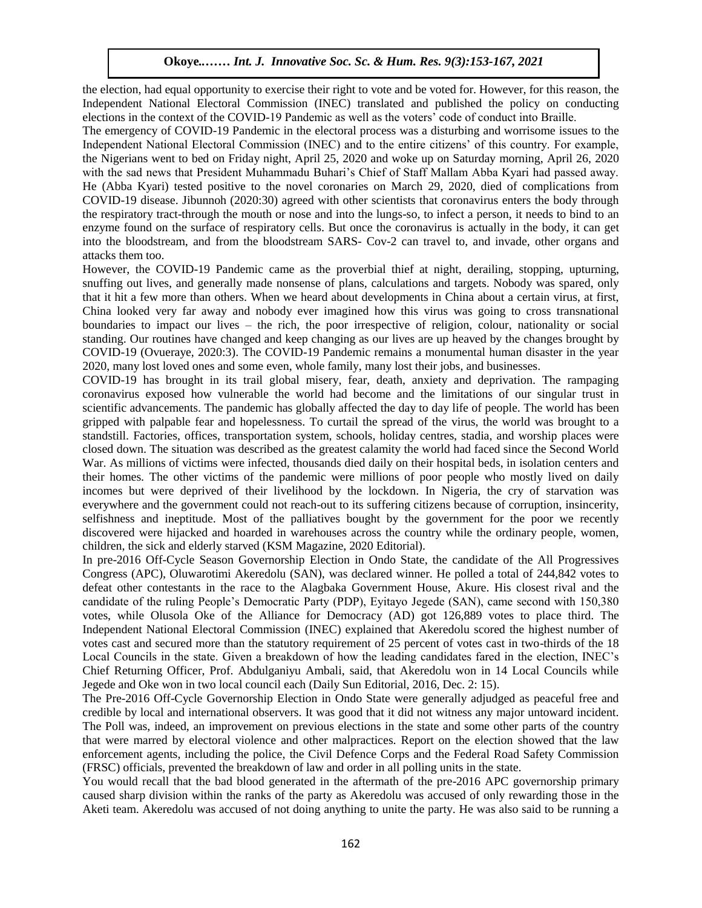the election, had equal opportunity to exercise their right to vote and be voted for. However, for this reason, the Independent National Electoral Commission (INEC) translated and published the policy on conducting elections in the context of the COVID-19 Pandemic as well as the voters' code of conduct into Braille.

The emergency of COVID-19 Pandemic in the electoral process was a disturbing and worrisome issues to the Independent National Electoral Commission (INEC) and to the entire citizens' of this country. For example, the Nigerians went to bed on Friday night, April 25, 2020 and woke up on Saturday morning, April 26, 2020  $\frac{1}{100}$ with the sad news that President Muhammadu Buhari's Chief of Staff Mallam Abba Kyari had passed away. He (Abba Kyari) tested positive to the novel coronaries on March 29, 2020, died of complications from COVID-19 disease. Jibunnoh (2020:30) agreed with other scientists that coronavirus enters the body through the respiratory tract-through the mouth or nose and into the lungs-so, to infect a person, it needs to bind to an enzyme found on the surface of respiratory cells. But once the coronavirus is actually in the body, it can get into the bloodstream, and from the bloodstream SARS- Cov-2 can travel to, and invade, other organs and attacks them too.

However, the COVID-19 Pandemic came as the proverbial thief at night, derailing, stopping, upturning, snuffing out lives, and generally made nonsense of plans, calculations and targets. Nobody was spared, only that it hit a few more than others. When we heard about developments in China about a certain virus, at first, China looked very far away and nobody ever imagined how this virus was going to cross transnational boundaries to impact our lives – the rich, the poor irrespective of religion, colour, nationality or social boundaries to impact our lives – the rich, the poor irrespective of religion, colour, nationality or social standing. Our routines have changed and keep changing as our lives are up heaved by the changes brought by COVID-19 (Ovueraye, 2020:3). The COVID-19 Pandemic remains a monumental human disaster in the year 2020, many lost loved ones and some even, whole family, many lost their jobs, and businesses.

COVID-19 has brought in its trail global misery, fear, death, anxiety and deprivation. The rampaging coronavirus exposed how vulnerable the world had become and the limitations of our singular trust in scientific advancements. The pandemic has globally affected the day to day life of people. The world has been gripped with palpable fear and hopelessness. To curtail the spread of the virus, the world was brought to a standstill. Factories, offices, transportation system, schools, holiday centres, stadia, and worship places were closed down. The situation was described as the greatest calamity the world had faced since the Second World War. As millions of victims were infected, thousands died daily on their hospital beds, in isolation centers and their homes. The other victims of the pandemic were millions of poor people who mostly lived on daily incomes but were deprived of their livelihood by the lockdown. In Nigeria, the cry of starvation was everywhere and the government could not reach-out to its suffering citizens because of corruption, insincerity, selfishness and ineptitude. Most of the palliatives bought by the government for the poor we recently discovered were hijacked and hoarded in warehouses across the country while the ordinary people, women, children, the sick and elderly starved (KSM Magazine, 2020 Editorial).

In pre-2016 Off-Cycle Season Governorship Election in Ondo State, the candidate of the All Progressives Congress (APC), Oluwarotimi Akeredolu (SAN), was declared winner. He polled a total of 244,842 votes to defeat other contestants in the race to the Alagbaka Government House, Akure. His closest rival and the candidate of the ruling People's Democratic Party (PDP), Eyitayo Jegede (SAN), came second with 150,380 votes, while Olusola Oke of the Alliance for Democracy (AD) got 126,889 votes to place third. The Independent National Electoral Commission (INEC) explained that Akeredolu scored the highest number of votes cast and secured more than the statutory requirement of 25 percent of votes cast in two-thirds of the 18 Local Councils in the state. Given a breakdown of how the leading candidates fared in the election, INEC's Chief Returning Officer, Prof. Abdulganiyu Ambali, said, that Akeredolu won in 14 Local Councils while Jegede and Oke won in two local council each (Daily Sun Editorial, 2016, Dec. 2: 15).

The Pre-2016 Off-Cycle Governorship Election in Ondo State were generally adjudged as peaceful free and credible by local and international observers. It was good that it did not witness any major untoward incident. The Poll was, indeed, an improvement on previous elections in the state and some other parts of the country that were marred by electoral violence and other malpractices. Report on the election showed that the law enforcement agents, including the police, the Civil Defence Corps and the Federal Road Safety Commission (FRSC) officials, prevented the breakdown of law and order in all polling units in the state.

You would recall that the bad blood generated in the aftermath of the pre-2016 APC governorship primary caused sharp division within the ranks of the party as Akeredolu was accused of only rewarding those in the Aketi team. Akeredolu was accused of not doing anything to unite the party. He was also said to be running a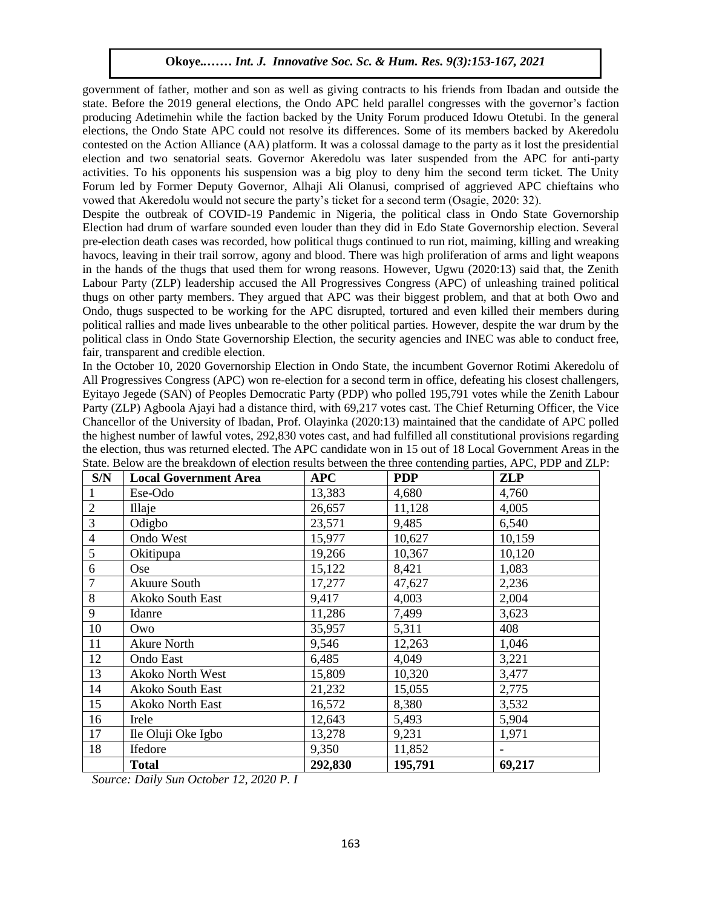government of father, mother and son as well as giving contracts to his friends from Ibadan and outside the state. Before the 2019 general elections, the Ondo APC held parallel congresses with the governor's faction producing Adetimehin while the faction backed by the Unity Forum produced Idowu Otetubi. In the general producing elections, the Ondo State APC could not resolve its differences. Some of its members backed by Akeredolu contested on the Action Alliance (AA) platform. It was a colossal damage to the party as it lost the presidential election and two senatorial seats. Governor Akeredolu was later suspended from the APC for anti-party election and two senatorial seats. Governor Akeredolu was later suspended from the APC for anti-party<br>activities. To his opponents his suspension was a big ploy to deny him the second term ticket. The Unity Forum led by Former Deputy Governor, Alhaji Ali Olanusi, comprised of aggrieved APC chieftains who vowed that Akeredolu would not secure the party's ticket for a second term (Osagie, 2020: 32).

Despite the outbreak of COVID-19 Pandemic in Nigeria, the political class in Ondo State Governorship Election had drum of warfare sounded even louder than they did in Edo State Governorship election. Several pre-election death cases was recorded, how political thugs continued to run riot, maiming, killing and wreaking havocs, leaving in their trail sorrow, agony and blood. There was high proliferation of arms and light weapons in the hands of the thugs that used them for wrong reasons. However, Ugwu (2020:13) said that, the Zenith Labour Party (ZLP) leadership accused the All Progressives Congress (APC) of unleashing trained political thugs on other party members. They argued that APC was their biggest problem, and that at both Owo and Ondo, thugs suspected to be working for the APC disrupted, tortured and even killed their members during political rallies and made lives unbearable to the other political parties. However, despite the war drum by the political rallies and made lives unbearable to the other political parties. However, despite the war drum by political class in Ondo State Governorship Election, the security agencies and INEC was able to conduct free, fair, transparent and credible election.

In the October 10, 2020 Governorship Election in Ondo State, the incumbent Governor Rotimi Akeredolu of All Progressives Congress (APC) won re-election for a second term in office, defeating his closest challengers, Eyitayo Jegede (SAN) of Peoples Democratic Party (PDP) who polled 195,791 votes while the Zenith Labour Party (ZLP) Agboola Ajayi had a distance third, with 69,217 votes cast. The Chief Returning Officer, the Vice Chancellor of the University of Ibadan, Prof. Olayinka (2020:13) maintained that the candidate of APC polled the highest number of lawful votes, 292,830 votes cast, and had fulfilled all constitutional provisions regarding the election, thus was returned elected. The APC candidate won in 15 out of 18 Local Government Areas in the State. Below are the breakdown of election results between the three contending parties, APC, PDP and ZLP:

| S/N            | <b>Local Government Area</b> | <b>APC</b> | ה - ים -<br><b>PDP</b> | <b>ZLP</b> |
|----------------|------------------------------|------------|------------------------|------------|
|                | Ese-Odo                      | 13,383     | 4,680                  | 4,760      |
| $\overline{2}$ | Illaje                       | 26,657     | 11,128                 | 4,005      |
| 3              | Odigbo                       | 23,571     | 9,485                  | 6,540      |
| $\overline{4}$ | Ondo West                    | 15,977     | 10,627                 | 10,159     |
| 5              | Okitipupa                    | 19,266     | 10,367                 | 10,120     |
| 6              | Ose                          | 15,122     | 8,421                  | 1,083      |
| $\overline{7}$ | <b>Akuure South</b>          | 17,277     | 47,627                 | 2,236      |
| 8              | Akoko South East             | 9,417      | 4,003                  | 2,004      |
| 9              | Idanre                       | 11,286     | 7,499                  | 3,623      |
| 10             | Owo                          | 35,957     | 5,311                  | 408        |
| 11             | <b>Akure North</b>           | 9,546      | 12,263                 | 1,046      |
| 12             | <b>Ondo East</b>             | 6,485      | 4,049                  | 3,221      |
| 13             | <b>Akoko North West</b>      | 15,809     | 10,320                 | 3,477      |
| 14             | Akoko South East             | 21,232     | 15,055                 | 2,775      |
| 15             | <b>Akoko North East</b>      | 16,572     | 8,380                  | 3,532      |
| 16             | Irele                        | 12,643     | 5,493                  | 5,904      |
| 17             | Ile Oluji Oke Igbo           | 13,278     | 9,231                  | 1,971      |
| 18             | Ifedore                      | 9,350      | 11,852                 |            |
|                | <b>Total</b>                 | 292,830    | 195,791                | 69,217     |

*Source: Daily Sun October 12, 2020 P. I*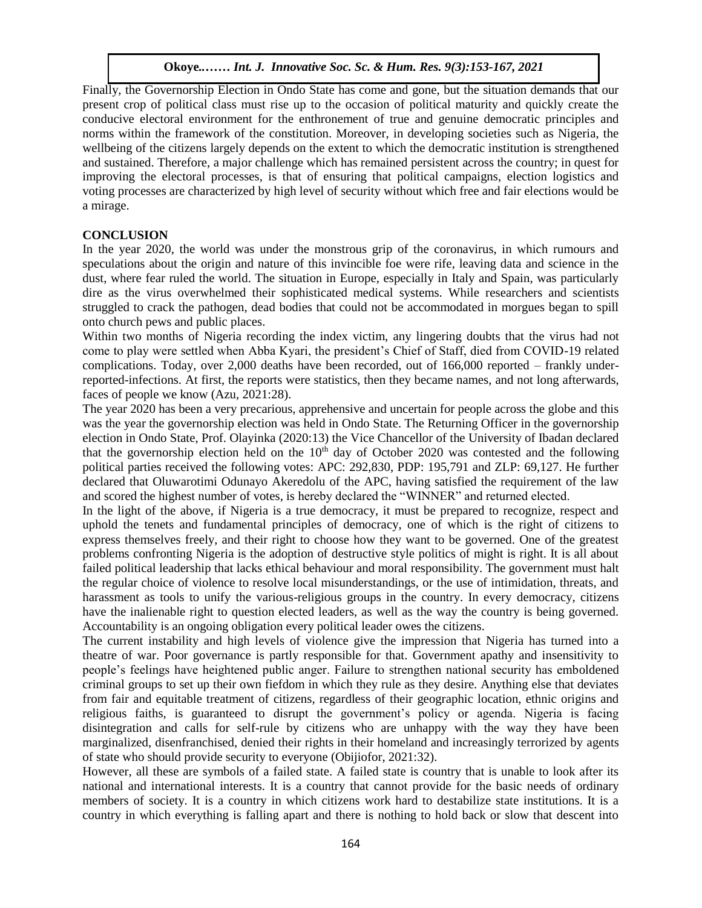Finally, the Governorship Election in Ondo State has come and gone, but the situation demands that our present crop of political class must rise up to the occasion of political maturity and quickly create the conducive electoral environment for the enthronement of true and genuine democratic principles and norms within the framework of the constitution. Moreover, in developing societies such as Nigeria, the wellbeing of the citizens largely depends on the extent to which the democratic institution is strengthened and sustained. Therefore, a major challenge which has remained persistent across the country; in quest for improving the electoral processes, is that of ensuring that political campaigns, election logistics and improving the electoral processes, is that of ensuring that political campaigns, election logistics and voting processes are characterized by high level of security without which free and fair elections would be a mirage.

# **CONCLUSION**

In the year 2020, the world was under the monstrous grip of the coronavirus, in which rumours and speculations about the origin and nature of this invincible foe were rife, leaving data and science in the dust, where fear ruled the world. The situation in Europe, especially in Italy and Spain, was particularly dust, dire as the virus overwhelmed their sophisticated medical systems. While researchers and scientists struggled to crack the pathogen, dead bodies that could not be accommodated in morgues began to spill onto church pews and public places.

Within two months of Nigeria recording the index victim, any lingering doubts that the virus had not come to play were settled when Abba Kyari, the president's Chief of Staff, died from COVID-19 related complications. Today, over 2,000 deaths have been recorded, out of 166,000 reported – frankly underreported-infections. At first, the reports were statistics, then they became names, and not long afterwards, faces of people we know (Azu, 2021:28).

The year 2020 has been a very precarious, apprehensive and uncertain for people across the globe and this was the year the governorship election was held in Ondo State. The Returning Officer in the governorship election in Ondo State, Prof. Olayinka (2020:13) the Vice Chancellor of the University of Ibadan declared that the governorship election held on the  $10<sup>th</sup>$  day of October 2020 was contested and the following political parties received the following votes: APC: 292,830, PDP: 195,791 and ZLP: 69,127. He further declared that Oluwarotimi Odunayo Akeredolu of the APC, having satisfied the requirement of the law and scored the highest number of votes, is hereby declared the "WINNER" and returned elected.

In the light of the above, if Nigeria is a true democracy, it must be prepared to recognize, respect and uphold the tenets and fundamental principles of democracy, one of which is the right of citizens to express themselves freely, and their right to choose how they want to be governed. One of the greatest problems confronting Nigeria is the adoption of destructive style politics of might is right. It is all about failed political leadership that lacks ethical behaviour and moral responsibility. The government must halt the regular choice of violence to resolve local misunderstandings, or the use of intimidation, threats, and harassment as tools to unify the various-religious groups in the country. In every democracy, citizens have the inalienable right to question elected leaders, as well as the way the country is being governed. Accountability is an ongoing obligation every political leader owes the citizens.

The current instability and high levels of violence give the impression that Nigeria has turned into a theatre of war. Poor governance is partly responsible for that. Government apathy and insensitivity to people's feelings have heightened public anger. Failure to strengthen national security has emboldened criminal groups to set up their own fiefdom in which they rule as they desire. Anything else that deviates from fair and equitable treatment of citizens, regardless of their geographic location, ethnic origins and religious faiths, is guaranteed to disrupt the government's policy or agenda. Nigeria is facing disintegration and calls for self-rule by citizens who are unhappy with the way they have been marginalized, disenfranchised, denied their rights in their homeland and increasingly terrorized by agents of state who should provide security to everyone (Obijiofor, 2021:32).

However, all these are symbols of a failed state. A failed state is country that is unable to look after its national and international interests. It is a country that cannot provide for the basic needs of ordinary members of society. It is a country in which citizens work hard to destabilize state institutions. It is a country in which everything is falling apart and there is nothing to hold back or slow that descent into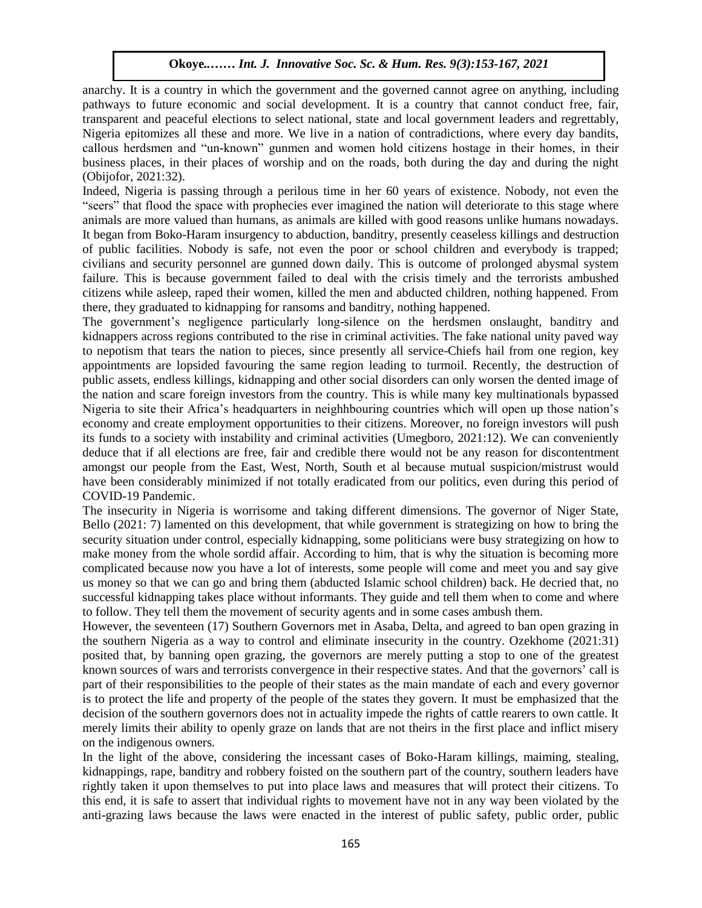anarchy. It is a country in which the government and the governed cannot agree on anything, including pathways to future economic and social development. It is a country that cannot conduct free, fair, transparent and peaceful elections to select national, state and local government leaders and regrettably, Nigeria epitomizes all these and more. We live in a nation of contradictions, where every day bandits, callous herdsmen and "un-known" gunmen and women hold citizens hostage in their homes, in their business places, in their places of worship and on the roads, both during the day and during the night  $(2)$ : (Obijofor, 2021:32).

Indeed, Nigeria is passing through a perilous time in her 60 years of existence. Nobody, not even the "seers" that flood the space with prophecies ever imagined the nation will deteriorate to this stage where animals are more valued than humans, as animals are killed with good reasons unlike humans nowadays. It began from Boko-Haram insurgency to abduction, banditry, presently ceaseless killings and destruction of public facilities. Nobody is safe, not even the poor or school children and everybody is trapped; civilians and security personnel are gunned down daily. This is outcome of prolonged abysmal system Ervinalis and security personnel are guinied down daily. This is outcome of profonged abysinal system<br>failure. This is because government failed to deal with the crisis timely and the terrorists ambushed citizens while asleep, raped their women, killed the men and abducted children, nothing happened. From there, they graduated to kidnapping for ransoms and banditry, nothing happened.

The government's negligence particularly long-silence on the herdsmen onslaught, banditry and kidnappers across regions contributed to the rise in criminal activities. The fake national unity paved way to nepotism that tears the nation to pieces, since presently all service-Chiefs hail from one region, key appointments are lopsided favouring the same region leading to turmoil. Recently, the destruction of apponuments are topsided tavouring the same region reading to turnion. Recently, the destitution of public assets, endless killings, kidnapping and other social disorders can only worsen the dented image of the nation and scare foreign investors from the country. This is while many key multinationals bypassed Nigeria to site their Africa's headquarters in neighhbouring countries which will open up those nation's economy and create employment opportunities to their citizens. Moreover, no foreign investors will push its funds to a society with instability and criminal activities (Umegboro, 2021:12). We can conveniently deduce that if all elections are free, fair and credible there would not be any reason for discontentment amongst our people from the East, West, North, South et al because mutual suspicion/mistrust would have been considerably minimized if not totally eradicated from our politics, even during this period of COVID-19 Pandemic.

The insecurity in Nigeria is worrisome and taking different dimensions. The governor of Niger State, Bello (2021: 7) lamented on this development, that while government is strategizing on how to bring the security situation under control, especially kidnapping, some politicians were busy strategizing on how to make money from the whole sordid affair. According to him, that is why the situation is becoming more complicated because now you have a lot of interests, some people will come and meet you and say give us money so that we can go and bring them (abducted Islamic school children) back. He decried that, no successful kidnapping takes place without informants. They guide and tell them when to come and where to follow. They tell them the movement of security agents and in some cases ambush them.

However, the seventeen (17) Southern Governors met in Asaba, Delta, and agreed to ban open grazing in the southern Nigeria as a way to control and eliminate insecurity in the country. Ozekhome (2021:31) posited that, by banning open grazing, the governors are merely putting a stop to one of the greatest known sources of wars and terrorists convergence in their respective states. And that the governors' call is part of their responsibilities to the people of their states as the main mandate of each and every governor is to protect the life and property of the people of the states they govern. It must be emphasized that the decision of the southern governors does not in actuality impede the rights of cattle rearers to own cattle. It merely limits their ability to openly graze on lands that are not theirs in the first place and inflict misery on the indigenous owners.

In the light of the above, considering the incessant cases of Boko-Haram killings, maiming, stealing, kidnappings, rape, banditry and robbery foisted on the southern part of the country, southern leaders have rightly taken it upon themselves to put into place laws and measures that will protect their citizens. To this end, it is safe to assert that individual rights to movement have not in any way been violated by the anti-grazing laws because the laws were enacted in the interest of public safety, public order, public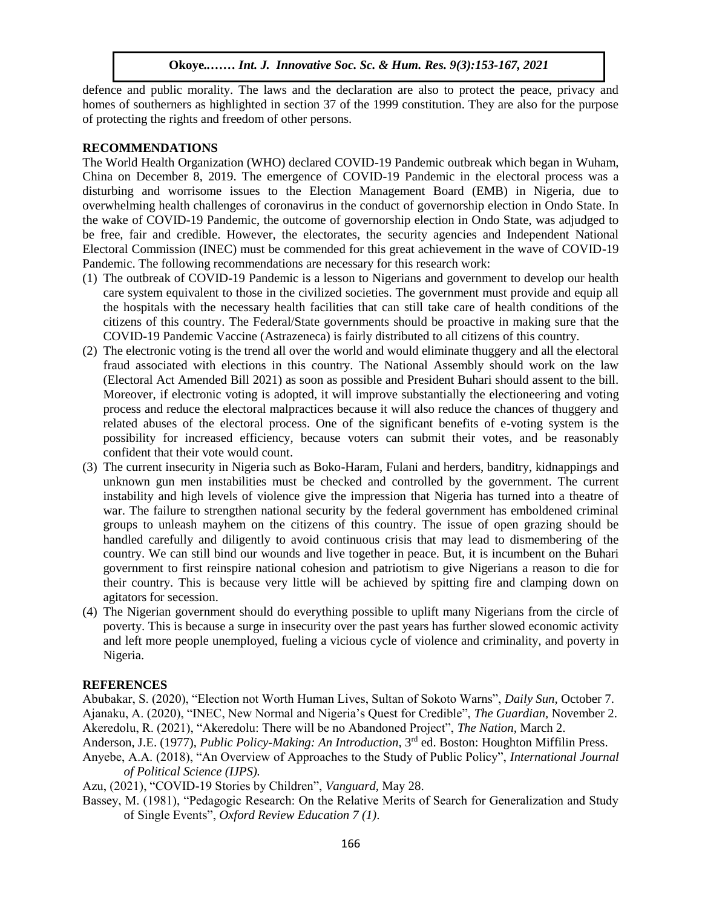defence and public morality. The laws and the declaration are also to protect the peace, privacy and homes of southerners as highlighted in section 37 of the 1999 constitution. They are also for the purpose of protecting the rights and freedom of other persons.

#### **RECOMMENDATIONS**

The World Health Organization (WHO) declared COVID-19 Pandemic outbreak which began in Wuham, China on December 8, 2019. The emergence of COVID-19 Pandemic in the electoral process was a disturbing and worrisome issues to the Election Management Board (EMB) in Nigeria, due to overwhelming health challenges of coronavirus in the conduct of governorship election in Ondo State. In the wake of COVID-19 Pandemic, the outcome of governorship election in Ondo State, was adjudged to be free, fair and credible. However, the electorates, the security agencies and Independent National Electoral Commission (INEC) must be commended for this great achievement in the wave of COVID-19 Pandemic. The following recommendations are necessary for this research work:

- r and the two streaks of COVID-19 Pandemic is a lesson to Nigerians and government to develop our health (1). The outbreak of COVID-19 Pandemic is a lesson to Nigerians and government to develop our health care system equivalent to those in the civilized societies. The government must provide and equip all the hospitals with the necessary health facilities that can still take care of health conditions of the citizens of this country. The Federal/State governments should be proactive in making sure that the COVID-19 Pandemic Vaccine (Astrazeneca) is fairly distributed to all citizens of this country.
- (2) The electronic voting is the trend all over the world and would eliminate thuggery and all the electoral fraud associated with elections in this country. The National Assembly should work on the law rade associated with electrons in ans country. The Futureman Fissenberg should work on the faw.<br>(Electoral Act Amended Bill 2021) as soon as possible and President Buhari should assent to the bill. Moreover, if electronic voting is adopted, it will improve substantially the electioneering and voting process and reduce the electoral malpractices because it will also reduce the chances of thuggery and related abuses of the electoral process. One of the significant benefits of e-voting system is the possibility for increased efficiency, because voters can submit their votes, and be reasonably confident that their vote would count.
- (3) The current insecurity in Nigeria such as Boko-Haram, Fulani and herders, banditry, kidnappings and unknown gun men instabilities must be checked and controlled by the government. The current instability and high levels of violence give the impression that Nigeria has turned into a theatre of war. The failure to strengthen national security by the federal government has emboldened criminal groups to unleash mayhem on the citizens of this country. The issue of open grazing should be handled carefully and diligently to avoid continuous crisis that may lead to dismembering of the country. We can still bind our wounds and live together in peace. But, it is incumbent on the Buhari government to first reinspire national cohesion and patriotism to give Nigerians a reason to die for their country. This is because very little will be achieved by spitting fire and clamping down on agitators for secession.
- (4) The Nigerian government should do everything possible to uplift many Nigerians from the circle of poverty. This is because a surge in insecurity over the past years has further slowed economic activity and left more people unemployed, fueling a vicious cycle of violence and criminality, and poverty in Nigeria.

## **REFERENCES**

Abubakar, S. (2020), "Election not Worth Human Lives, Sultan of Sokoto Warns", *Daily Sun,* October 7. Ajanaku, A. (2020), "INEC, New Normal and Nigeria's Quest for Credible", *The Guardian,* November 2. Akeredolu, R. (2021), "Akeredolu: There will be no Abandoned Project", *The Nation,* March 2.

Anderson, J.E. (1977), *Public Policy-Making: An Introduction*, 3<sup>rd</sup> ed. Boston: Houghton Miffilin Press.

Anyebe, A.A. (2018), "An Overview of Approaches to the Study of Public Policy", *International Journal of Political Science (IJPS).*

Azu, (2021), "COVID-19 Stories by Children", *Vanguard,* May 28.

Bassey, M. (1981), "Pedagogic Research: On the Relative Merits of Search for Generalization and Study of Single Events", *Oxford Review Education 7 (1)*.